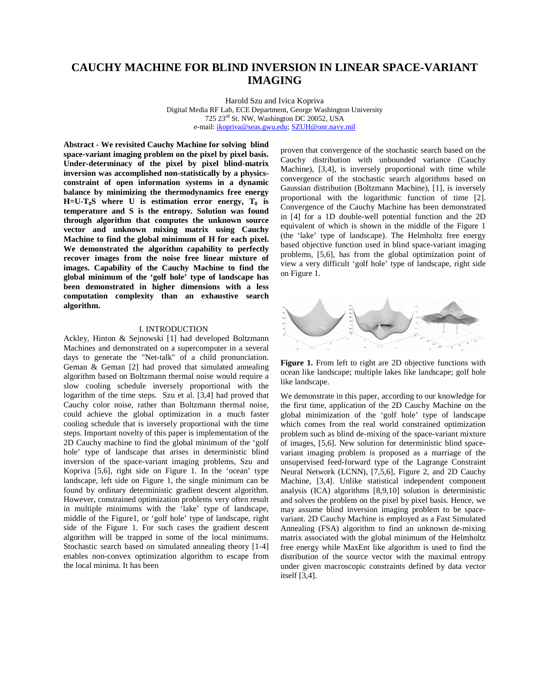# **CAUCHY MACHINE FOR BLIND INVERSION IN LINEAR SPACE-VARIANT IMAGING**

Harold Szu and Ivica Kopriva Digital Media RF Lab, ECE Department, George Washington University 725 23rd St. NW, Washington DC 20052, USA e-mail: ikopriva@seas.gwu.edu; SZUH@onr.navy.mil

**Abstract - We revisited Cauchy Machine for solving blind space-variant imaging problem on the pixel by pixel basis. Under-determinacy of the pixel by pixel blind-matrix inversion was accomplished non-statistically by a physicsconstraint of open information systems in a dynamic balance by minimizing the thermodynamics free energy**  $H=U-T_0S$  where U is estimation error energy,  $T_0$  is **temperature and S is the entropy. Solution was found through algorithm that computes the unknown source vector and unknown mixing matrix using Cauchy Machine to find the global minimum of H for each pixel. We demonstrated the algorithm capability to perfectly recover images from the noise free linear mixture of images. Capability of the Cauchy Machine to find the global minimum of the 'golf hole' type of landscape has been demonstrated in higher dimensions with a less computation complexity than an exhaustive search algorithm.**

### I. INTRODUCTION

Ackley, Hinton & Sejnowski [1] had developed Boltzmann Machines and demonstrated on a supercomputer in a several days to generate the "Net-talk" of a child pronunciation. Geman & Geman [2] had proved that simulated annealing algorithm based on Boltzmann thermal noise would require a slow cooling schedule inversely proportional with the logarithm of the time steps. Szu et al. [3,4] had proved that Cauchy color noise, rather than Boltzmann thermal noise, could achieve the global optimization in a much faster cooling schedule that is inversely proportional with the time steps. Important novelty of this paper is implementation of the 2D Cauchy machine to find the global minimum of the 'golf hole' type of landscape that arises in deterministic blind inversion of the space-variant imaging problems, Szu and Kopriva [5,6], right side on Figure 1. In the 'ocean' type landscape, left side on Figure 1, the single minimum can be found by ordinary deterministic gradient descent algorithm. However, constrained optimization problems very often result in multiple minimums with the 'lake' type of landscape, middle of the Figure1, or 'golf hole' type of landscape, right side of the Figure 1. For such cases the gradient descent algorithm will be trapped in some of the local minimums. Stochastic search based on simulated annealing theory [1-4] enables non-convex optimization algorithm to escape from the local minima. It has been

proven that convergence of the stochastic search based on the Cauchy distribution with unbounded variance (Cauchy Machine), [3,4], is inversely proportional with time while convergence of the stochastic search algorithms based on Gaussian distribution (Boltzmann Machine), [1], is inversely proportional with the logarithmic function of time [2]. Convergence of the Cauchy Machine has been demonstrated in [4] for a 1D double-well potential function and the 2D equivalent of which is shown in the middle of the Figure 1 (the 'lake' type of landscape). The Helmholtz free energy based objective function used in blind space-variant imaging problems, [5,6], has from the global optimization point of view a very difficult 'golf hole' type of landscape, right side on Figure 1.





We demonstrate in this paper, according to our knowledge for the first time, application of the 2D Cauchy Machine on the global minimization of the 'golf hole' type of landscape which comes from the real world constrained optimization problem such as blind de-mixing of the space-variant mixture of images, [5,6]. New solution for deterministic blind spacevariant imaging problem is proposed as a marriage of the unsupervised feed-forward type of the Lagrange Constraint Neural Network (LCNN), [7,5,6], Figure 2, and 2D Cauchy Machine, [3,4]. Unlike statistical independent component analysis (ICA) algorithms [8,9,10] solution is deterministic and solves the problem on the pixel by pixel basis. Hence, we may assume blind inversion imaging problem to be spacevariant. 2D Cauchy Machine is employed as a Fast Simulated Annealing (FSA) algorithm to find an unknown de-mixing matrix associated with the global minimum of the Helmholtz free energy while MaxEnt like algorithm is used to find the distribution of the source vector with the maximal entropy under given macroscopic constraints defined by data vector itself [3,4].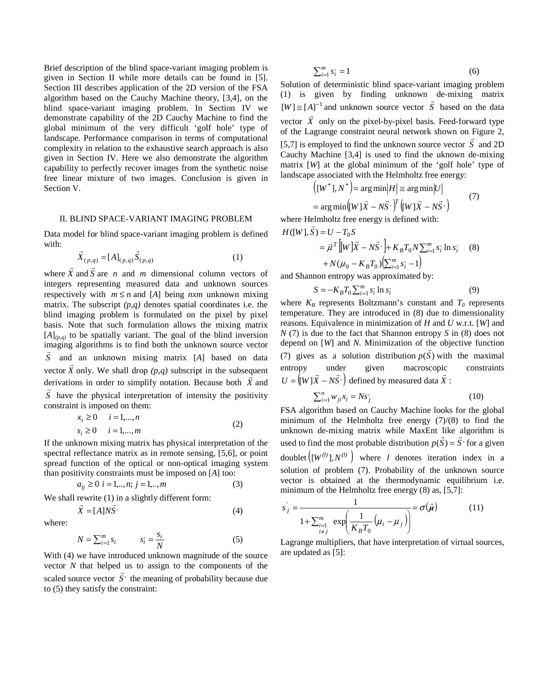Brief description of the blind space-variant imaging problem is given in Section II while more details can be found in [5]. Section III describes application of the 2D version of the FSA algorithm based on the Cauchy Machine theory, [3,4], on the blind space-variant imaging problem. In Section IV we demonstrate capability of the 2D Cauchy Machine to find the global minimum of the very difficult 'golf hole' type of landscape. Performance comparison in terms of computational complexity in relation to the exhaustive search approach is also given in Section IV. Here we also demonstrate the algorithm capability to perfectly recover images from the synthetic noise free linear mixture of two images. Conclusion is given in Section V.

#### II. BLIND SPACE-VARIANT IMAGING PROBLEM

Data model for blind space-variant imaging problem is defined with:

$$
\vec{X}_{(p,q)} = [A]_{(p,q)} \vec{S}_{(p,q)} \tag{1}
$$

where  $\vec{X}$  and  $\vec{S}$  are *n* and *m* dimensional column vectors of integers representing measured data and unknown sources respectively with  $m \le n$  and [A] being  $n x m$  unknown mixing matrix. The subscript *(p,q)* denotes spatial coordinates i.e. the blind imaging problem is formulated on the pixel by pixel basis. Note that such formulation allows the mixing matrix  $[A]_{(p,q)}$  to be spatially variant. The goal of the blind inversion imaging algorithms is to find both the unknown source vector  $\overline{S}$  and an unknown mixing matrix  $[A]$  based on data vector  $\vec{X}$  only. We shall drop  $(p,q)$  subscript in the subsequent derivations in order to simplify notation. Because both  $\vec{X}$  and  $\vec{S}$  have the physical interpretation of intensity the positivity constraint is imposed on them:

$$
x_i \ge 0 \t i = 1,...,n
$$
  
\n
$$
s_i \ge 0 \t i = 1,...,m
$$
 (2)

If the unknown mixing matrix has physical interpretation of the spectral reflectance matrix as in remote sensing, [5,6], or point spread function of the optical or non-optical imaging system than positivity constraints must be imposed on [*A*] too:

$$
a_{ij} \ge 0 \quad i = 1, \dots, n; \ j = 1, \dots, m \tag{3}
$$

We shall rewrite (1) in a slightly different form:

$$
\vec{X} = [A]N\vec{S}
$$
 (4)

where:

$$
N = \sum_{i=1}^{m} s_i \qquad s_i = \frac{s_i}{N} \tag{5}
$$

With (4) we have introduced unknown magnitude of the source vector *N* that helped us to assign to the components of the scaled source vector  $\vec{S}$ <sup>r</sup> the meaning of probability because due to (5) they satisfy the constraint:

$$
\sum_{i=1}^{m} s_i = 1 \tag{6}
$$

Solution of deterministic blind space-variant imaging problem (1) is given by finding unknown de-mixing matrix  $[W] \cong [A]^{-1}$  and unknown source vector  $\overrightarrow{S}$  based on the data vector  $\vec{X}$  only on the pixel-by-pixel basis. Feed-forward type of the Lagrange constraint neural network shown on Figure 2, [5,7] is employed to find the unknown source vector  $\vec{S}$  and 2D Cauchy Machine [3,4] is used to find the uknown de-mixing matrix [*W*] at the global minimum of the 'golf hole' type of landscape associated with the Helmholtz free energy:

$$
([W^*], N^*) = \arg \min |H| \approx \arg \min |U|
$$
  
= arg \min ([W]  $\vec{X} - N\vec{S}$ .)<sup>T</sup> ([W]  $\vec{X} - N\vec{S}$ .) (7)

where Helmholtz free energy is defined with: *H* ([W],  $\vec{S}$ ) = U - T<sub>0</sub>S

$$
S) = U - I_0S
$$
  
=  $\vec{\mu}^T \left[ [W] \vec{X} - N \vec{S} \cdot \right] + K_B T_0 N \sum_{i=1}^m s_i^* \ln s_i^*$  (8)  
+  $N(\mu_0 - K_B T_0) (\sum_{i=1}^m s_i^* - 1)$ 

and Shannon entropy was approximated by:

$$
S = -K_B T_0 \sum_{i=1}^{m} s_i \ln s_i \tag{9}
$$

where  $K_B$  represents Boltzmann's constant and  $T_0$  represents temperature. They are introduced in (8) due to dimensionality reasons. Equivalence in minimization of *H* and *U* w.r.t. [*W*] and *N* (7) is due to the fact that Shannon entropy *S* in (8) does not depend on [*W*] and *N*. Minimization of the objective function (7) gives as a solution distribution  $p(\vec{S})$  with the maximal entropy under given macroscopic constraints  $U = [(W] \vec{X} - N\vec{S}^{\,i}]$  defined by measured data  $\vec{X}$ :

$$
\sum_{i=1}^{n} w_{ji} x_i = N s_j \tag{10}
$$

FSA algorithm based on Cauchy Machine looks for the global minimum of the Helmholtz free energy  $(7)/(8)$  to find the unknown de-mixing matrix while MaxEnt like algorithm is used to find the most probable distribution  $p(\vec{S}) = \vec{S}$  for a given doublet  $(W^{(l)}|, N^{(l)})$  where *l* denotes iteration index in a solution of problem (7). Probability of the unknown source vector is obtained at the thermodynamic equilibrium i.e. minimum of the Helmholtz free energy (8) as, [5,7]:

$$
s_j = \frac{1}{1 + \sum_{\substack{i=1 \ i \neq j}}^m \exp\left(\frac{1}{K_B T_0} (\mu_i - \mu_j)\right)} = \sigma(\vec{\mu})
$$
(11)

Lagrange multipliers, that have interpretation of virtual sources, are updated as [5]: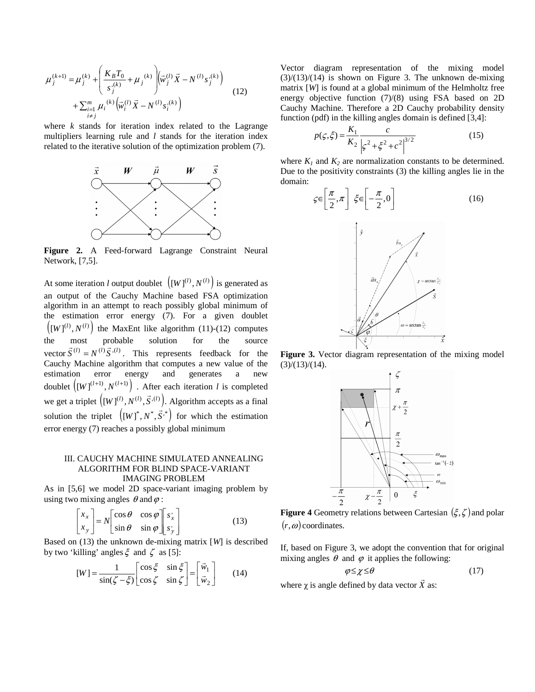$$
\mu_j^{(k+1)} = \mu_j^{(k)} + \left(\frac{K_B T_0}{s_j^{(k)}} + \mu_j^{(k)}\right) \left(\vec{w}_j^{(l)} \vec{X} - N^{(l)} s_j^{(k)}\right) + \sum_{\substack{i=1 \ i \neq j}}^m \mu_i^{(k)} \left(\vec{w}_i^{(l)} \vec{X} - N^{(l)} s_i^{(k)}\right)
$$
\n(12)

where *k* stands for iteration index related to the Lagrange multipliers learning rule and *l* stands for the iteration index related to the iterative solution of the optimization problem (7).



**Figure 2.** A Feed-forward Lagrange Constraint Neural Network, [7,5].

At some iteration *l* output doublet  $([W]^{(l)}, N^{(l)})$  is generated as an output of the Cauchy Machine based FSA optimization algorithm in an attempt to reach possibly global minimum of the estimation error energy (7). For a given doublet  $\left( [W]^{(l)}, N^{(l)} \right)$  the MaxEnt like algorithm (11)-(12) computes the most probable solution for the source vector  $\vec{S}^{(l)} = N^{(l)} \vec{S}^{(l)}$ . This represents feedback for the Cauchy Machine algorithm that computes a new value of the estimation error energy and generates a new doublet  $\left( [W]^{(l+1)}, N^{(l+1)} \right)$ . After each iteration *l* is completed we get a triplet  $([W]^{(l)}, N^{(l)}, \vec{S}^{(l)}).$  Algorithm accepts as a final solution the triplet  $([W]^*, N^*, \vec{S}^*)$  for which the estimation error energy (7) reaches a possibly global minimum

# III. CAUCHY MACHINE SIMULATED ANNEALING ALGORITHM FOR BLIND SPACE-VARIANT IMAGING PROBLEM

As in [5,6] we model 2D space-variant imaging problem by using two mixing angles  $\theta$  and  $\varphi$ :

$$
\begin{bmatrix} x_x \\ x_y \end{bmatrix} = N \begin{bmatrix} \cos \theta & \cos \varphi \\ \sin \theta & \sin \varphi \end{bmatrix} \begin{bmatrix} s_x \\ s_y \end{bmatrix}
$$
 (13)

Based on (13) the unknown de-mixing matrix [*W*] is described by two 'killing' angles  $\xi$  and  $\zeta$  as [5]:

$$
[W] = \frac{1}{\sin(\zeta - \xi)} \begin{bmatrix} \cos \xi & \sin \xi \\ \cos \zeta & \sin \zeta \end{bmatrix} = \begin{bmatrix} \vec{w}_1 \\ \vec{w}_2 \end{bmatrix}
$$
 (14)

Vector diagram representation of the mixing model  $(3)/(13)/(14)$  is shown on Figure 3. The unknown de-mixing matrix [*W*] is found at a global minimum of the Helmholtz free energy objective function (7)/(8) using FSA based on 2D Cauchy Machine. Therefore a 2D Cauchy probability density function (pdf) in the killing angles domain is defined [3,4]:

$$
p(\varsigma, \xi) = \frac{K_1}{K_2} \frac{c}{\left|\varsigma^2 + \xi^2 + c^2\right|^{3/2}}
$$
(15)

where  $K_1$  and  $K_2$  are normalization constants to be determined. Due to the positivity constraints (3) the killing angles lie in the domain:





**Figure 3.** Vector diagram representation of the mixing model  $(3)/(13)/(14)$ .



**Figure 4** Geometry relations between Cartesian  $(\xi, \zeta)$  and polar  $(r, \omega)$  coordinates.

If, based on Figure 3, we adopt the convention that for original mixing angles  $\theta$  and  $\varphi$  it applies the following:

$$
\varphi \le \chi \le \theta \tag{17}
$$

where  $\chi$  is angle defined by data vector  $\vec{X}$  as: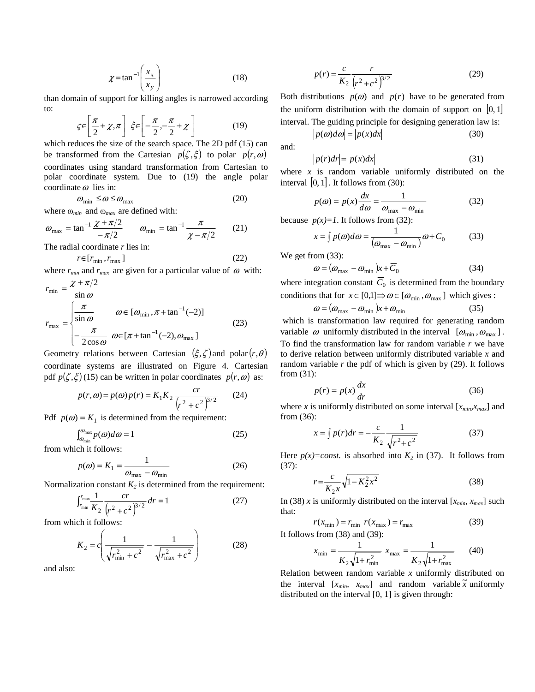$$
\chi = \tan^{-1} \left( \frac{x_x}{x_y} \right) \tag{18}
$$

than domain of support for killing angles is narrowed according to:

$$
\varsigma \in \left[\frac{\pi}{2} + \chi, \pi\right] \xi \in \left[-\frac{\pi}{2}, -\frac{\pi}{2} + \chi\right] \tag{19}
$$

which reduces the size of the search space. The 2D pdf (15) can be transformed from the Cartesian  $p(\zeta, \xi)$  to polar  $p(r, \omega)$ coordinates using standard transformation from Cartesian to polar coordinate system. Due to (19) the angle polar coordinate  $\omega$  lies in:

$$
\omega_{\min} \le \omega \le \omega_{\max} \tag{20}
$$

where ω*min* and ω*max* are defined with:

$$
\omega_{\text{max}} = \tan^{-1} \frac{\chi + \pi/2}{-\pi/2}
$$
  $\omega_{\text{min}} = \tan^{-1} \frac{\pi}{\chi - \pi/2}$  (21)

The radial coordinate *r* lies in:

$$
r \in [r_{\min}, r_{\max}] \tag{22}
$$

where  $r_{min}$  and  $r_{max}$  are given for a particular value of  $\omega$  with:  $r_{\min} = \frac{\chi + \pi/2}{\chi}$ 

$$
r_{\min} = \frac{\frac{\pi}{\sin \omega}}{\sin \omega}
$$
  
\n
$$
r_{\max} = \begin{cases} \frac{\pi}{\sin \omega} & \omega \in [\omega_{\min}, \pi + \tan^{-1}(-2)] \\ -\frac{\pi}{2 \cos \omega} & \omega \in [\pi + \tan^{-1}(-2), \omega_{\max}] \end{cases}
$$
 (23)

Geometry relations between Cartesian  $(\xi, \zeta)$  and polar  $(r, \theta)$ coordinate systems are illustrated on Figure 4. Cartesian pdf  $p(\zeta, \xi)$  (15) can be written in polar coordinates  $p(r, \omega)$  as:

$$
p(r, \omega) = p(\omega) p(r) = K_1 K_2 \frac{cr}{(r^2 + c^2)^{3/2}} \qquad (24)
$$

Pdf  $p(\omega) = K_1$  is determined from the requirement:

$$
\int_{\omega_{\min}}^{\omega_{\max}} p(\omega) d\omega = 1 \tag{25}
$$

from which it follows:

$$
p(\omega) = K_1 = \frac{1}{\omega_{\text{max}} - \omega_{\text{min}}} \tag{26}
$$

Normalization constant  $K_2$  is determined from the requirement:

$$
\int_{r_{\min}}^{r_{\max}} \frac{1}{K_2} \frac{cr}{\left(r^2 + c^2\right)^{3/2}} dr = 1
$$
 (27)

from which it follows:

$$
K_2 = c \left( \frac{1}{\sqrt{r_{\min}^2 + c^2}} - \frac{1}{\sqrt{r_{\max}^2 + c^2}} \right) \tag{28}
$$

and also:

$$
p(r) = \frac{c}{K_2} \frac{r}{(r^2 + c^2)^{3/2}}
$$
 (29)

Both distributions  $p(\omega)$  and  $p(r)$  have to be generated from the uniform distribution with the domain of support on  $[0, 1]$ interval. The guiding principle for designing generation law is:

 $p(\omega)d\omega = p(x)dx$  (30)

and:

$$
p(r)dr = |p(x)dx|
$$
\n(31)

where  $x$  is random variable uniformly distributed on the interval  $\vert 0, 1 \vert$ . It follows from (30):

$$
p(\omega) = p(x)\frac{dx}{d\omega} = \frac{1}{\omega_{\text{max}} - \omega_{\text{min}}}
$$
(32)

because  $p(x)=1$ . It follows from (32):

$$
x = \int p(\omega)d\omega = \frac{1}{(\omega_{\text{max}} - \omega_{\text{min}})}\omega + C_0 \quad (33)
$$

We get from (33):

$$
\omega = (\omega_{\text{max}} - \omega_{\text{min}})x + \overline{C}_0 \tag{34}
$$

where integration constant  $C_0$  is determined from the boundary conditions that for  $x \in [0,1] \Rightarrow \omega \in [\omega_{\min}, \omega_{\max}]$  which gives :

$$
\omega = (\omega_{\text{max}} - \omega_{\text{min}})x + \omega_{\text{min}} \tag{35}
$$

which is transformation law required for generating random variable  $\omega$  uniformly distributed in the interval  $[\omega_{\min}, \omega_{\max}]$ . To find the transformation law for random variable *r* we have to derive relation between uniformly distributed variable *x* and random variable  $r$  the pdf of which is given by  $(29)$ . It follows from (31):

$$
p(r) = p(x)\frac{dx}{dr}
$$
 (36)

where *x* is uniformly distributed on some interval  $[x_{min}, x_{max}]$  and from (36):

$$
x = \int p(r)dr = -\frac{c}{K_2} \frac{1}{\sqrt{r^2 + c^2}}
$$
(37)

Here  $p(x) = const.$  is absorbed into  $K_2$  in (37). It follows from (37):

$$
r = \frac{c}{K_2 x} \sqrt{1 - K_2^2 x^2} \tag{38}
$$

In (38) *x* is uniformly distributed on the interval  $[x_{min}, x_{max}]$  such that:

$$
r(x_{\min}) = r_{\min} \ r(x_{\max}) = r_{\max} \tag{39}
$$

It follows from (38) and (39):

$$
x_{\min} = \frac{1}{K_2 \sqrt{1 + r_{\min}^2}} \ x_{\max} = \frac{1}{K_2 \sqrt{1 + r_{\max}^2}} \qquad (40)
$$

Relation between random variable *x* uniformly distributed on the interval  $[x_{min}, x_{max}]$  and random variable  $\tilde{x}$  uniformly distributed on the interval [0, 1] is given through: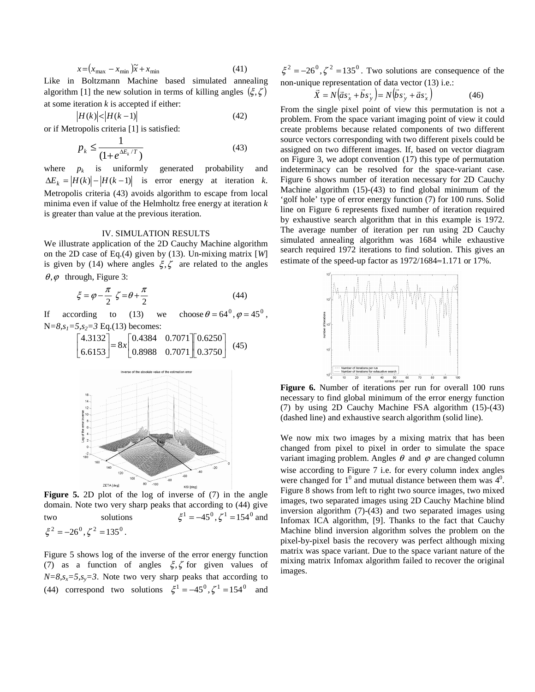$$
x = (x_{\text{max}} - x_{\text{min}})\tilde{x} + x_{\text{min}} \tag{41}
$$

Like in Boltzmann Machine based simulated annealing algorithm [1] the new solution in terms of killing angles  $(\xi, \zeta)$ at some iteration *k* is accepted if either:

$$
\left|H(k)\right| < \left|H(k-1)\right| \tag{42}
$$

or if Metropolis criteria [1] is satisfied:

$$
p_k \le \frac{1}{\left(1 + e^{\Delta E_k/T}\right)}\tag{43}
$$

where  $p_k$  is uniformly generated probability and  $\Delta E_k = |H(k)| - |H(k-1)|$  is error energy at iteration *k*. Metropolis criteria (43) avoids algorithm to escape from local minima even if value of the Helmholtz free energy at iteration *k* is greater than value at the previous iteration.

### IV. SIMULATION RESULTS

We illustrate application of the 2D Cauchy Machine algorithm on the 2D case of Eq.(4) given by (13). Un-mixing matrix [*W*] is given by (14) where angles  $\xi$ ,  $\zeta$  are related to the angles  $\theta$ ,  $\varphi$  through, Figure 3:

$$
\xi = \varphi - \frac{\pi}{2} \zeta = \theta + \frac{\pi}{2} \tag{44}
$$

If according to (13) we choose  $\theta = 64^{\circ}$ ,  $\varphi = 45^{\circ}$ ,



KSI [deg] **Figure 5.** 2D plot of the log of inverse of (7) in the angle domain. Note two very sharp peaks that according to (44) give two solutions  $\xi^1 = -45^0$ ,  $\xi^1 = 154^0$  and  $\xi^2 = -26^0$ ,  $\zeta^2 = 135^0$ .

 $-100$ 

ZETA [deg]

Figure 5 shows log of the inverse of the error energy function (7) as a function of angles  $\xi$ ,  $\zeta$  for given values of  $N=8, s_x=5, s_y=3$ . Note two very sharp peaks that according to (44) correspond two solutions  $\xi^1 = -45^0$ ,  $\xi^1 = 154^0$  and

 $\xi^2 = -26^\circ$ ,  $\zeta^2 = 135^\circ$ . Two solutions are consequence of the non-unique representation of data vector (13) i.e.:<br> $\vec{v} = v(\vec{a}g) + \vec{b}g$ ;  $-\vec{b}g$ ;  $-\vec{a}g$ ;  $\vec{a}$ 

$$
\vec{X} = N(\vec{a}s_x + \vec{b}s_y) = N(\vec{b}s_y + \vec{a}s_x)
$$
 (46)

From the single pixel point of view this permutation is not a problem. From the space variant imaging point of view it could create problems because related components of two different source vectors corresponding with two different pixels could be assigned on two different images. If, based on vector diagram on Figure 3, we adopt convention (17) this type of permutation indeterminacy can be resolved for the space-variant case. Figure 6 shows number of iteration necessary for 2D Cauchy Machine algorithm (15)-(43) to find global minimum of the 'golf hole' type of error energy function (7) for 100 runs. Solid line on Figure 6 represents fixed number of iteration required by exhaustive search algorithm that in this example is 1972. The average number of iteration per run using 2D Cauchy simulated annealing algorithm was 1684 while exhaustive search required 1972 iterations to find solution. This gives an estimate of the speed-up factor as 1972/1684≈1.171 or 17%.



**Figure 6.** Number of iterations per run for overall 100 runs necessary to find global minimum of the error energy function (7) by using 2D Cauchy Machine FSA algorithm (15)-(43) (dashed line) and exhaustive search algorithm (solid line).

We now mix two images by a mixing matrix that has been changed from pixel to pixel in order to simulate the space variant imaging problem. Angles  $\theta$  and  $\varphi$  are changed column wise according to Figure 7 i.e. for every column index angles were changed for  $1^0$  and mutual distance between them was  $4^0$ . Figure 8 shows from left to right two source images, two mixed images, two separated images using 2D Cauchy Machine blind inversion algorithm (7)-(43) and two separated images using Infomax ICA algorithm, [9]. Thanks to the fact that Cauchy Machine blind inversion algorithm solves the problem on the pixel-by-pixel basis the recovery was perfect although mixing matrix was space variant. Due to the space variant nature of the mixing matrix Infomax algorithm failed to recover the original images.